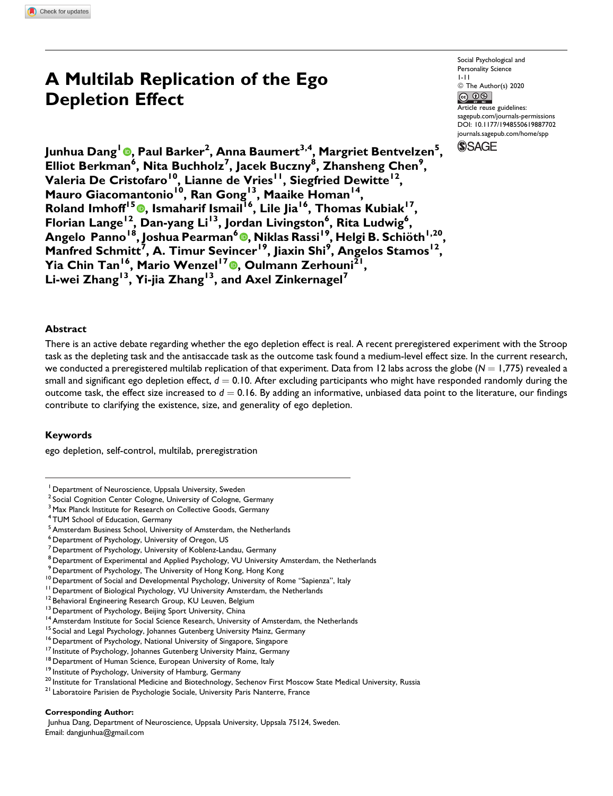# A Multilab Replication of the Ego Depletion Effect

Social Psychological and Personality Science 1-11 © The Author(s) 2020  $\bigcirc$  0  $\circ$ Article reuse guidelines: [sagepub.com/journals-permissions](https://sagepub.com/journals-permissions) [DOI: 10.1177/1948550619887702](https://doi.org/10.1177/1948550619887702) [journals.sagepub.com/home/spp](http://journals.sagepub.com/home/spp)**SSAGE** 

Junhua Dang<sup>1</sup> , Paul Barker<sup>2</sup> , Anna Baumert3,4, Margriet Bentvelzen5 ,  ${\sf Elliot}$  Berkman $^6$ , Nita Buchholz<sup>7</sup>, Jacek Buczny $^8$ , Zhansheng Chen $^9$ , Valeria De Cristofaro<sup>10</sup>, Lianne de Vries<sup>11</sup>, Siegfried Dewitte<sup>12</sup>, Mauro Giacomantonio<sup>10</sup>, Ran Gong<sup>13</sup>, Maaike Homan<sup>14</sup>, Roland Imhoff<sup>15</sup> (D. Ismaharif Ismail<sup>16</sup>[,](https://orcid.org/0000-0003-0807-463X) Lile Jia<sup>16</sup>, Thomas Kubiak<sup>17</sup>, Florian Lange<sup>12</sup>, Dan-yang Li<sup>13</sup>, Jordan Livingston<sup>6</sup>, Rita Ludwig<sup>6</sup>, Angelo Panno<sup>18</sup>, Joshua Pearman<sup>6</sup> , Niklas Rassi<sup>19</sup>, Helgi B. Schiöth<sup>1,20</sup>, Manfred Schmitt<sup>7</sup>, A. Timur Sevincer<sup>19</sup>, Jiaxin Shi<sup>9</sup>, Angelos Stamos<sup>12</sup>, Yia Chin Tan<sup>16</sup>[,](https://orcid.org/0000-0003-2839-9482) Mario Wenzel<sup>17</sup> , Oulmann Zerhouni<sup>21</sup>, Li-wei Zhang<sup>13</sup>, Yi-jia Zhang<sup>13</sup>, and Axel Zinkernagel<sup>7</sup>

# Abstract

There is an active debate regarding whether the ego depletion effect is real. A recent preregistered experiment with the Stroop task as the depleting task and the antisaccade task as the outcome task found a medium-level effect size. In the current research, we conducted a preregistered multilab replication of that experiment. Data from 12 labs across the globe ( $N = 1,775$ ) revealed a small and significant ego depletion effect,  $d = 0.10$ . After excluding participants who might have responded randomly during the outcome task, the effect size increased to  $d = 0.16$ . By adding an informative, unbiased data point to the literature, our findings contribute to clarifying the existence, size, and generality of ego depletion.

## Keywords

ego depletion, self-control, multilab, preregistration

#### Corresponding Author:

Junhua Dang, Department of Neuroscience, Uppsala University, Uppsala 75124, Sweden. Email: [dangjunhua@gmail.com](mailto:dangjunhua@gmail.com)

<sup>&</sup>lt;sup>1</sup> Department of Neuroscience, Uppsala University, Sweden

<sup>&</sup>lt;sup>2</sup> Social Cognition Center Cologne, University of Cologne, Germany

<sup>&</sup>lt;sup>3</sup> Max Planck Institute for Research on Collective Goods, Germany

<sup>4</sup> TUM School of Education, Germany

 $<sup>5</sup>$  Amsterdam Business School, University of Amsterdam, the Netherlands</sup>

<sup>6</sup> Department of Psychology, University of Oregon, US

<sup>7</sup> Department of Psychology, University of Koblenz-Landau, Germany

 $8$  Department of Experimental and Applied Psychology, VU University Amsterdam, the Netherlands  $8$  Department of Psychology, The University of Hong Kong, Hong Kong

<sup>&</sup>lt;sup>9</sup> Department of Psychology, The University of Hong Kong, Hong Kong<br><sup>10</sup> Department of Social and Developmental Psychology, University of Rome "Sapienza", Italy<br><sup>11</sup> Department of Biological Psychology, VU University Amst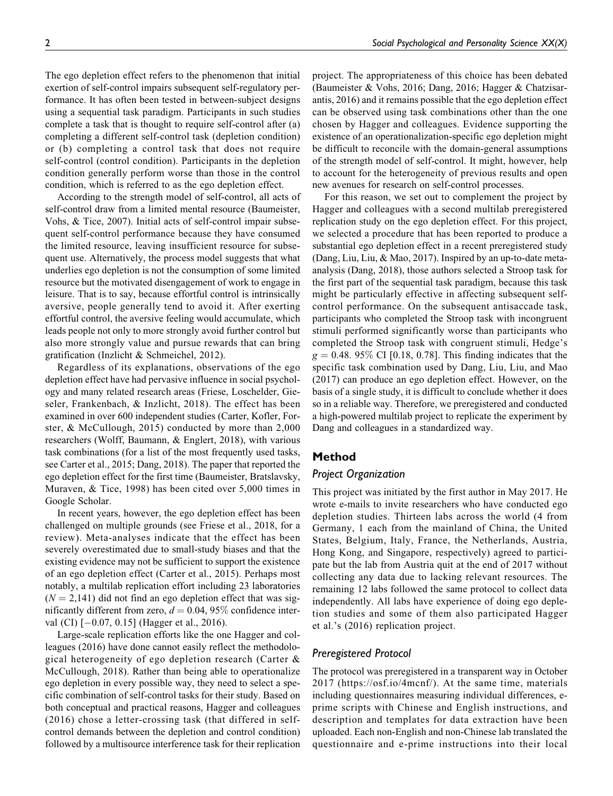The ego depletion effect refers to the phenomenon that initial exertion of self-control impairs subsequent self-regulatory performance. It has often been tested in between-subject designs using a sequential task paradigm. Participants in such studies complete a task that is thought to require self-control after (a) completing a different self-control task (depletion condition) or (b) completing a control task that does not require self-control (control condition). Participants in the depletion condition generally perform worse than those in the control condition, which is referred to as the ego depletion effect.

According to the strength model of self-control, all acts of self-control draw from a limited mental resource (Baumeister, Vohs, & Tice, 2007). Initial acts of self-control impair subsequent self-control performance because they have consumed the limited resource, leaving insufficient resource for subsequent use. Alternatively, the process model suggests that what underlies ego depletion is not the consumption of some limited resource but the motivated disengagement of work to engage in leisure. That is to say, because effortful control is intrinsically aversive, people generally tend to avoid it. After exerting effortful control, the aversive feeling would accumulate, which leads people not only to more strongly avoid further control but also more strongly value and pursue rewards that can bring gratification (Inzlicht & Schmeichel, 2012).

Regardless of its explanations, observations of the ego depletion effect have had pervasive influence in social psychology and many related research areas (Friese, Loschelder, Gieseler, Frankenbach, & Inzlicht, 2018). The effect has been examined in over 600 independent studies (Carter, Kofler, Forster, & McCullough, 2015) conducted by more than 2,000 researchers (Wolff, Baumann, & Englert, 2018), with various task combinations (for a list of the most frequently used tasks, see Carter et al., 2015; Dang, 2018). The paper that reported the ego depletion effect for the first time (Baumeister, Bratslavsky, Muraven, & Tice, 1998) has been cited over 5,000 times in Google Scholar.

In recent years, however, the ego depletion effect has been challenged on multiple grounds (see Friese et al., 2018, for a review). Meta-analyses indicate that the effect has been severely overestimated due to small-study biases and that the existing evidence may not be sufficient to support the existence of an ego depletion effect (Carter et al., 2015). Perhaps most notably, a multilab replication effort including 23 laboratories  $(N = 2,141)$  did not find an ego depletion effect that was significantly different from zero,  $d = 0.04$ , 95% confidence interval (CI) [-0.07, 0.15] (Hagger et al., 2016).

Large-scale replication efforts like the one Hagger and colleagues (2016) have done cannot easily reflect the methodological heterogeneity of ego depletion research (Carter & McCullough, 2018). Rather than being able to operationalize ego depletion in every possible way, they need to select a specific combination of self-control tasks for their study. Based on both conceptual and practical reasons, Hagger and colleagues (2016) chose a letter-crossing task (that differed in selfcontrol demands between the depletion and control condition) followed by a multisource interference task for their replication project. The appropriateness of this choice has been debated (Baumeister & Vohs, 2016; Dang, 2016; Hagger & Chatzisarantis, 2016) and it remains possible that the ego depletion effect can be observed using task combinations other than the one chosen by Hagger and colleagues. Evidence supporting the existence of an operationalization-specific ego depletion might be difficult to reconcile with the domain-general assumptions of the strength model of self-control. It might, however, help to account for the heterogeneity of previous results and open new avenues for research on self-control processes.

For this reason, we set out to complement the project by Hagger and colleagues with a second multilab preregistered replication study on the ego depletion effect. For this project, we selected a procedure that has been reported to produce a substantial ego depletion effect in a recent preregistered study (Dang, Liu, Liu, & Mao, 2017). Inspired by an up-to-date metaanalysis (Dang, 2018), those authors selected a Stroop task for the first part of the sequential task paradigm, because this task might be particularly effective in affecting subsequent selfcontrol performance. On the subsequent antisaccade task, participants who completed the Stroop task with incongruent stimuli performed significantly worse than participants who completed the Stroop task with congruent stimuli, Hedge's  $g = 0.48$ . 95% CI [0.18, 0.78]. This finding indicates that the specific task combination used by Dang, Liu, Liu, and Mao (2017) can produce an ego depletion effect. However, on the basis of a single study, it is difficult to conclude whether it does so in a reliable way. Therefore, we preregistered and conducted a high-powered multilab project to replicate the experiment by Dang and colleagues in a standardized way.

# Method

# Project Organization

This project was initiated by the first author in May 2017. He wrote e-mails to invite researchers who have conducted ego depletion studies. Thirteen labs across the world (4 from Germany, 1 each from the mainland of China, the United States, Belgium, Italy, France, the Netherlands, Austria, Hong Kong, and Singapore, respectively) agreed to participate but the lab from Austria quit at the end of 2017 without collecting any data due to lacking relevant resources. The remaining 12 labs followed the same protocol to collect data independently. All labs have experience of doing ego depletion studies and some of them also participated Hagger et al.'s (2016) replication project.

# Preregistered Protocol

The protocol was preregistered in a transparent way in October 2017 (<https://osf.io/4mcnf/>). At the same time, materials including questionnaires measuring individual differences, eprime scripts with Chinese and English instructions, and description and templates for data extraction have been uploaded. Each non-English and non-Chinese lab translated the questionnaire and e-prime instructions into their local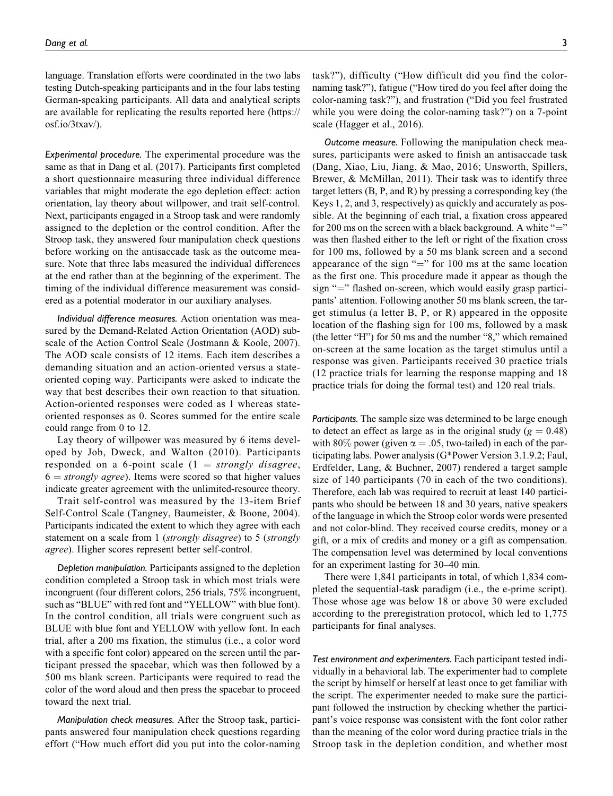language. Translation efforts were coordinated in the two labs testing Dutch-speaking participants and in the four labs testing German-speaking participants. All data and analytical scripts are available for replicating the results reported here [\(https://](https://osf.io/3txav/) [osf.io/3txav/\)](https://osf.io/3txav/).

Experimental procedure. The experimental procedure was the same as that in Dang et al. (2017). Participants first completed a short questionnaire measuring three individual difference variables that might moderate the ego depletion effect: action orientation, lay theory about willpower, and trait self-control. Next, participants engaged in a Stroop task and were randomly assigned to the depletion or the control condition. After the Stroop task, they answered four manipulation check questions before working on the antisaccade task as the outcome measure. Note that three labs measured the individual differences at the end rather than at the beginning of the experiment. The timing of the individual difference measurement was considered as a potential moderator in our auxiliary analyses.

Individual difference measures. Action orientation was measured by the Demand-Related Action Orientation (AOD) subscale of the Action Control Scale (Jostmann & Koole, 2007). The AOD scale consists of 12 items. Each item describes a demanding situation and an action-oriented versus a stateoriented coping way. Participants were asked to indicate the way that best describes their own reaction to that situation. Action-oriented responses were coded as 1 whereas stateoriented responses as 0. Scores summed for the entire scale could range from 0 to 12.

Lay theory of willpower was measured by 6 items developed by Job, Dweck, and Walton (2010). Participants responded on a 6-point scale  $(1 = strongly \, disagree,$  $6 =$  strongly agree). Items were scored so that higher values indicate greater agreement with the unlimited-resource theory.

Trait self-control was measured by the 13-item Brief Self-Control Scale (Tangney, Baumeister, & Boone, 2004). Participants indicated the extent to which they agree with each statement on a scale from 1 *(strongly disagree)* to 5 *(strongly* agree). Higher scores represent better self-control.

Depletion manipulation. Participants assigned to the depletion condition completed a Stroop task in which most trials were incongruent (four different colors, 256 trials, 75% incongruent, such as "BLUE" with red font and "YELLOW" with blue font). In the control condition, all trials were congruent such as BLUE with blue font and YELLOW with yellow font. In each trial, after a 200 ms fixation, the stimulus (i.e., a color word with a specific font color) appeared on the screen until the participant pressed the spacebar, which was then followed by a 500 ms blank screen. Participants were required to read the color of the word aloud and then press the spacebar to proceed toward the next trial.

Manipulation check measures. After the Stroop task, participants answered four manipulation check questions regarding effort ("How much effort did you put into the color-naming

task?"), difficulty ("How difficult did you find the colornaming task?"), fatigue ("How tired do you feel after doing the color-naming task?"), and frustration ("Did you feel frustrated while you were doing the color-naming task?") on a 7-point scale (Hagger et al., 2016).

Outcome measure. Following the manipulation check measures, participants were asked to finish an antisaccade task (Dang, Xiao, Liu, Jiang, & Mao, 2016; Unsworth, Spillers, Brewer, & McMillan, 2011). Their task was to identify three target letters (B, P, and R) by pressing a corresponding key (the Keys 1, 2, and 3, respectively) as quickly and accurately as possible. At the beginning of each trial, a fixation cross appeared for 200 ms on the screen with a black background. A white " $=$ " was then flashed either to the left or right of the fixation cross for 100 ms, followed by a 50 ms blank screen and a second appearance of the sign "=" for 100 ms at the same location as the first one. This procedure made it appear as though the sign " $=$ " flashed on-screen, which would easily grasp participants' attention. Following another 50 ms blank screen, the target stimulus (a letter B, P, or R) appeared in the opposite location of the flashing sign for 100 ms, followed by a mask (the letter "H") for 50 ms and the number "8," which remained on-screen at the same location as the target stimulus until a response was given. Participants received 30 practice trials (12 practice trials for learning the response mapping and 18 practice trials for doing the formal test) and 120 real trials.

Participants. The sample size was determined to be large enough to detect an effect as large as in the original study ( $g = 0.48$ ) with 80% power (given  $\alpha = .05$ , two-tailed) in each of the participating labs. Power analysis (G\*Power Version 3.1.9.2; Faul, Erdfelder, Lang, & Buchner, 2007) rendered a target sample size of 140 participants (70 in each of the two conditions). Therefore, each lab was required to recruit at least 140 participants who should be between 18 and 30 years, native speakers of the language in which the Stroop color words were presented and not color-blind. They received course credits, money or a gift, or a mix of credits and money or a gift as compensation. The compensation level was determined by local conventions for an experiment lasting for 30–40 min.

There were 1,841 participants in total, of which 1,834 completed the sequential-task paradigm (i.e., the e-prime script). Those whose age was below 18 or above 30 were excluded according to the preregistration protocol, which led to 1,775 participants for final analyses.

Test environment and experimenters. Each participant tested individually in a behavioral lab. The experimenter had to complete the script by himself or herself at least once to get familiar with the script. The experimenter needed to make sure the participant followed the instruction by checking whether the participant's voice response was consistent with the font color rather than the meaning of the color word during practice trials in the Stroop task in the depletion condition, and whether most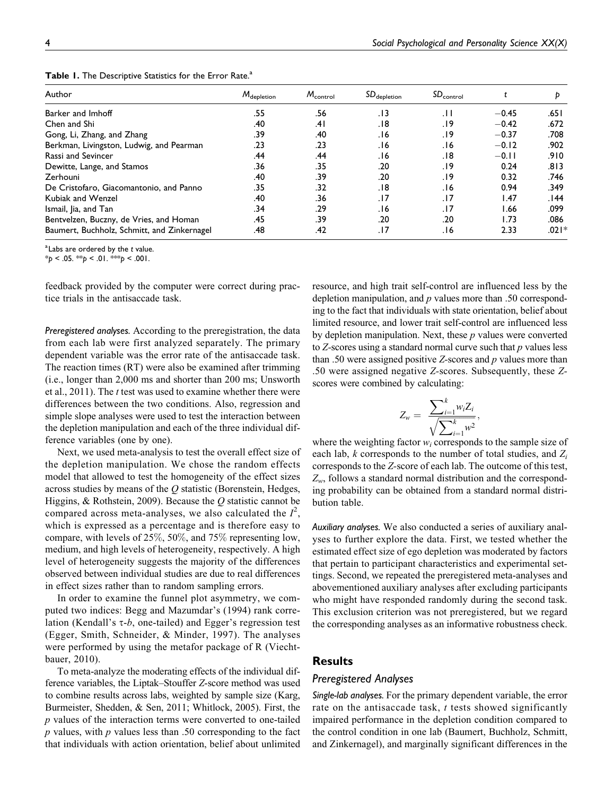| Author                                      | $M_{\rm depletion}$ | $M_{\rm control}$ | $\mathsf{SD}_\mathsf{depletion}$ | $SD_{\rm control}$ |         |         |
|---------------------------------------------|---------------------|-------------------|----------------------------------|--------------------|---------|---------|
| Barker and Imhoff                           | .55                 | .56               | 13.                              | . H                | $-0.45$ | .651    |
| Chen and Shi                                | .40                 | .41               | 18.                              | ۱9.                | $-0.42$ | .672    |
| Gong, Li, Zhang, and Zhang                  | .39                 | .40               | 16.                              | ۱9.                | $-0.37$ | .708    |
| Berkman, Livingston, Ludwig, and Pearman    | .23                 | .23               | 16.                              | 16.                | $-0.12$ | .902    |
| Rassi and Sevincer                          | .44                 | .44               | 16.                              | 18.                | $-0.11$ | .910    |
| Dewitte, Lange, and Stamos                  | .36                 | .35               | .20                              | ۱9.                | 0.24    | .813    |
| Zerhouni                                    | .40                 | .39               | .20                              | ۱9.                | 0.32    | .746    |
| De Cristofaro, Giacomantonio, and Panno     | .35                 | .32               | 18.                              | 16.                | 0.94    | .349    |
| Kubiak and Wenzel                           | .40                 | .36               | 17.                              | . 17               | l.47    | 144.    |
| Ismail, Jia, and Tan                        | .34                 | .29               | 16.                              | .17                | 66. ا   | .099    |
| Bentvelzen, Buczny, de Vries, and Homan     | .45                 | .39               | .20                              | .20                | 1.73    | .086    |
| Baumert, Buchholz, Schmitt, and Zinkernagel | .48                 | .42               | .17                              | 16.                | 2.33    | $.021*$ |

Table 1. The Descriptive Statistics for the Error Rate.<sup>a</sup>

<sup>a</sup> Labs are ordered by the t value.

 $*_{p}$  < .05.  $*_{p}$  < .01.  $*_{p}$  < .001.

feedback provided by the computer were correct during practice trials in the antisaccade task.

Preregistered analyses. According to the preregistration, the data from each lab were first analyzed separately. The primary dependent variable was the error rate of the antisaccade task. The reaction times (RT) were also be examined after trimming (i.e., longer than 2,000 ms and shorter than 200 ms; Unsworth et al., 2011). The  $t$  test was used to examine whether there were differences between the two conditions. Also, regression and simple slope analyses were used to test the interaction between the depletion manipulation and each of the three individual difference variables (one by one).

Next, we used meta-analysis to test the overall effect size of the depletion manipulation. We chose the random effects model that allowed to test the homogeneity of the effect sizes across studies by means of the  $Q$  statistic (Borenstein, Hedges, Higgins, & Rothstein, 2009). Because the  $Q$  statistic cannot be compared across meta-analyses, we also calculated the  $I^2$ , which is expressed as a percentage and is therefore easy to compare, with levels of 25%, 50%, and 75% representing low, medium, and high levels of heterogeneity, respectively. A high level of heterogeneity suggests the majority of the differences observed between individual studies are due to real differences in effect sizes rather than to random sampling errors.

In order to examine the funnel plot asymmetry, we computed two indices: Begg and Mazumdar's (1994) rank correlation (Kendall's  $\tau$ -*b*, one-tailed) and Egger's regression test (Egger, Smith, Schneider, & Minder, 1997). The analyses were performed by using the metafor package of R (Viechtbauer, 2010).

To meta-analyze the moderating effects of the individual difference variables, the Liptak–Stouffer Z-score method was used to combine results across labs, weighted by sample size (Karg, Burmeister, Shedden, & Sen, 2011; Whitlock, 2005). First, the p values of the interaction terms were converted to one-tailed  $p$  values, with  $p$  values less than .50 corresponding to the fact that individuals with action orientation, belief about unlimited

resource, and high trait self-control are influenced less by the depletion manipulation, and  $p$  values more than .50 corresponding to the fact that individuals with state orientation, belief about limited resource, and lower trait self-control are influenced less by depletion manipulation. Next, these  $p$  values were converted to  $Z$ -scores using a standard normal curve such that  $p$  values less than .50 were assigned positive Z-scores and  $p$  values more than .50 were assigned negative Z-scores. Subsequently, these Zscores were combined by calculating:

$$
Z_w = \frac{\sum_{i=1}^k w_i Z_i}{\sqrt{\sum_{i=1}^k w_i^2}},
$$

where the weighting factor  $w_i$  corresponds to the sample size of each lab,  $k$  corresponds to the number of total studies, and  $Z_i$ corresponds to the Z-score of each lab. The outcome of this test,  $Z_w$ , follows a standard normal distribution and the corresponding probability can be obtained from a standard normal distribution table.

Auxiliary analyses. We also conducted a series of auxiliary analyses to further explore the data. First, we tested whether the estimated effect size of ego depletion was moderated by factors that pertain to participant characteristics and experimental settings. Second, we repeated the preregistered meta-analyses and abovementioned auxiliary analyses after excluding participants who might have responded randomly during the second task. This exclusion criterion was not preregistered, but we regard the corresponding analyses as an informative robustness check.

## Results

## Preregistered Analyses

Single-lab analyses. For the primary dependent variable, the error rate on the antisaccade task, t tests showed significantly impaired performance in the depletion condition compared to the control condition in one lab (Baumert, Buchholz, Schmitt, and Zinkernagel), and marginally significant differences in the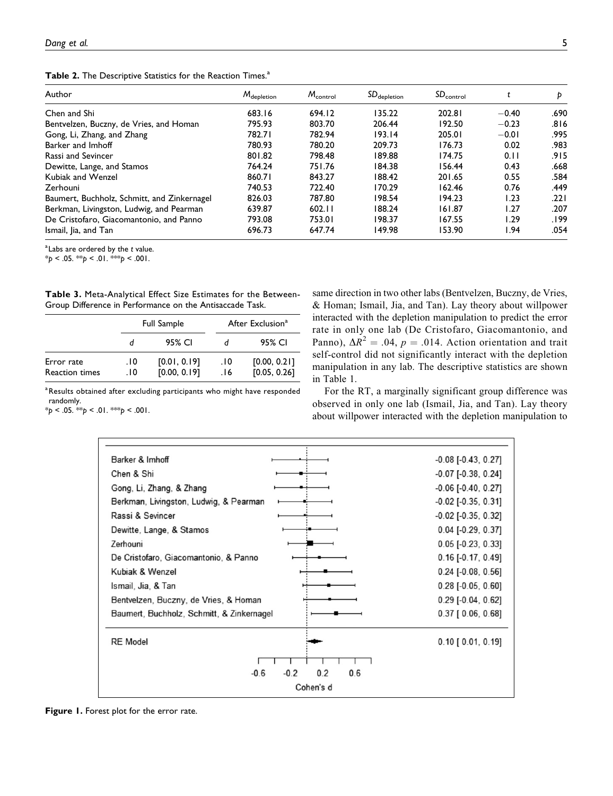Table 2. The Descriptive Statistics for the Reaction Times.<sup>a</sup>

| Author                                      | $M_{\rm depletion}$ | $M_{\rm control}$ | $\mathsf{SD}_\mathsf{depletion}$ | $SD_{control}$ | L       | b    |
|---------------------------------------------|---------------------|-------------------|----------------------------------|----------------|---------|------|
| Chen and Shi                                | 683.16              | 694.12            | 135.22                           | 202.81         | $-0.40$ | .690 |
| Bentvelzen, Buczny, de Vries, and Homan     | 795.93              | 803.70            | 206.44                           | 192.50         | $-0.23$ | .816 |
| Gong, Li, Zhang, and Zhang                  | 782.71              | 782.94            | 193.14                           | 205.01         | $-0.01$ | .995 |
| Barker and Imhoff                           | 780.93              | 780.20            | 209.73                           | 176.73         | 0.02    | .983 |
| Rassi and Sevincer                          | 801.82              | 798.48            | 189.88                           | 174.75         | 0.11    | .915 |
| Dewitte, Lange, and Stamos                  | 764.24              | 751.76            | 184.38                           | 156.44         | 0.43    | .668 |
| Kubiak and Wenzel                           | 860.71              | 843.27            | 188.42                           | 201.65         | 0.55    | .584 |
| Zerhouni                                    | 740.53              | 722.40            | 170.29                           | 162.46         | 0.76    | .449 |
| Baumert, Buchholz, Schmitt, and Zinkernagel | 826.03              | 787.80            | 198.54                           | 194.23         | 1.23    | .221 |
| Berkman, Livingston, Ludwig, and Pearman    | 639.87              | 602.11            | 188.24                           | 161.87         | 1.27    | .207 |
| De Cristofaro, Giacomantonio, and Panno     | 793.08              | 753.01            | 198.37                           | 167.55         | l.29    | .199 |
| Ismail, Jia, and Tan                        | 696.73              | 647.74            | 149.98                           | 153.90         | I.94    | .054 |

<sup>a</sup> Labs are ordered by the t value.

 $*_{p}$  < .05.  $*_{p}$  < .01.  $*_{p}$  < .001.

Table 3. Meta-Analytical Effect Size Estimates for the Between-Group Difference in Performance on the Antisaccade Task.

|                                     |            | <b>Full Sample</b>           |            | After Exclusion <sup>a</sup> |  |  |
|-------------------------------------|------------|------------------------------|------------|------------------------------|--|--|
|                                     |            | 95% CI                       |            | 95% CI                       |  |  |
| Error rate<br><b>Reaction times</b> | 0١.<br>١٥. | [0.01, 0.19]<br>[0.00, 0.19] | 10.<br>16. | [0.00, 0.2]<br>[0.05, 0.26]  |  |  |

<sup>a</sup>Results obtained after excluding participants who might have responded randomly.

 $*_{p}$  < .05.  $*_{p}$  < .01.  $*_{p}$  < .001.

same direction in two other labs (Bentvelzen, Buczny, de Vries, & Homan; Ismail, Jia, and Tan). Lay theory about willpower interacted with the depletion manipulation to predict the error rate in only one lab (De Cristofaro, Giacomantonio, and Panno),  $\Delta R^2 = .04$ ,  $p = .014$ . Action orientation and trait self-control did not significantly interact with the depletion manipulation in any lab. The descriptive statistics are shown in Table 1.

For the RT, a marginally significant group difference was observed in only one lab (Ismail, Jia, and Tan). Lay theory about willpower interacted with the depletion manipulation to



Figure 1. Forest plot for the error rate.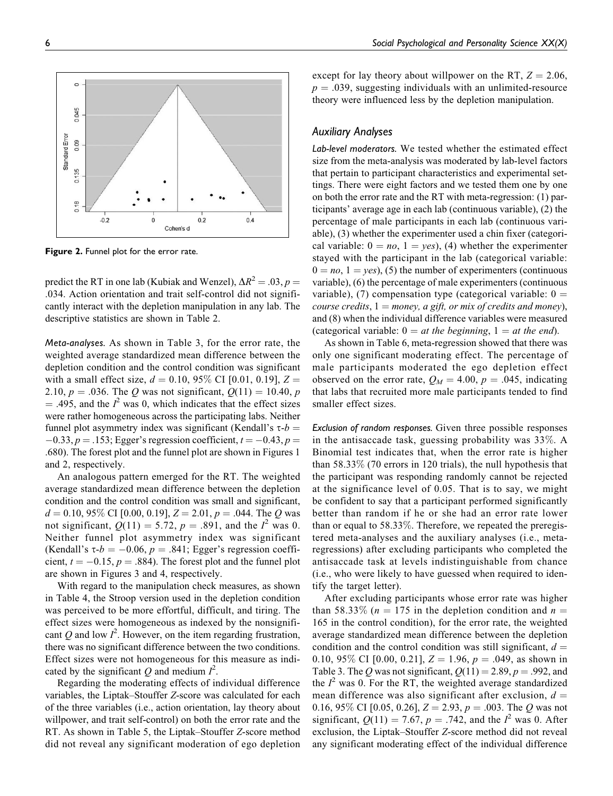except for lay theory about willpower on the RT,  $Z = 2.06$ ,  $p = .039$ , suggesting individuals with an unlimited-resource theory were influenced less by the depletion manipulation.

# Auxiliary Analyses

Lab-level moderators. We tested whether the estimated effect size from the meta-analysis was moderated by lab-level factors that pertain to participant characteristics and experimental settings. There were eight factors and we tested them one by one on both the error rate and the RT with meta-regression: (1) participants' average age in each lab (continuous variable), (2) the percentage of male participants in each lab (continuous variable), (3) whether the experimenter used a chin fixer (categorical variable:  $0 = no$ ,  $1 = yes$ ), (4) whether the experimenter stayed with the participant in the lab (categorical variable:  $0 = no$ ,  $1 = yes$ ), (5) the number of experimenters (continuous variable), (6) the percentage of male experimenters (continuous variable), (7) compensation type (categorical variable:  $0 =$ course credits,  $1 =$  money, a gift, or mix of credits and money), and (8) when the individual difference variables were measured (categorical variable:  $0 = at$  the beginning,  $1 = at$  the end).

As shown in Table 6, meta-regression showed that there was only one significant moderating effect. The percentage of male participants moderated the ego depletion effect observed on the error rate,  $Q_M = 4.00$ ,  $p = .045$ , indicating that labs that recruited more male participants tended to find smaller effect sizes.

Exclusion of random responses. Given three possible responses in the antisaccade task, guessing probability was 33%. A Binomial test indicates that, when the error rate is higher than 58.33% (70 errors in 120 trials), the null hypothesis that the participant was responding randomly cannot be rejected at the significance level of 0.05. That is to say, we might be confident to say that a participant performed significantly better than random if he or she had an error rate lower than or equal to 58.33%. Therefore, we repeated the preregistered meta-analyses and the auxiliary analyses (i.e., metaregressions) after excluding participants who completed the antisaccade task at levels indistinguishable from chance (i.e., who were likely to have guessed when required to identify the target letter).

After excluding participants whose error rate was higher than 58.33% ( $n = 175$  in the depletion condition and  $n =$ 165 in the control condition), for the error rate, the weighted average standardized mean difference between the depletion condition and the control condition was still significant,  $d =$ 0.10, 95\% CI [0.00, 0.21],  $Z = 1.96$ ,  $p = .049$ , as shown in Table 3. The Q was not significant,  $Q(11) = 2.89$ ,  $p = .992$ , and the  $I^2$  was 0. For the RT, the weighted average standardized mean difference was also significant after exclusion,  $d =$ 0.16, 95\% CI [0.05, 0.26],  $Z = 2.93$ ,  $p = .003$ . The Q was not significant,  $Q(11) = 7.67$ ,  $p = .742$ , and the  $I^2$  was 0. After exclusion, the Liptak–Stouffer Z-score method did not reveal any significant moderating effect of the individual difference



predict the RT in one lab (Kubiak and Wenzel),  $\Delta R^2 = .03$ ,  $p =$ .034. Action orientation and trait self-control did not significantly interact with the depletion manipulation in any lab. The descriptive statistics are shown in Table 2.

Meta-analyses. As shown in Table 3, for the error rate, the weighted average standardized mean difference between the depletion condition and the control condition was significant with a small effect size,  $d = 0.10, 95\%$  CI [0.01, 0.19],  $Z =$ 2.10,  $p = .036$ . The Q was not significant,  $Q(11) = 10.40$ , p  $=$  .495, and the  $I<sup>2</sup>$  was 0, which indicates that the effect sizes were rather homogeneous across the participating labs. Neither funnel plot asymmetry index was significant (Kendall's  $\tau$ - $b =$  $-0.33, p = 0.153$ ; Egger's regression coefficient,  $t = -0.43, p =$ .680). The forest plot and the funnel plot are shown in Figures 1 and 2, respectively.

An analogous pattern emerged for the RT. The weighted average standardized mean difference between the depletion condition and the control condition was small and significant,  $d = 0.10, 95\%$  CI [0.00, 0.19],  $Z = 2.01, p = .044$ . The Q was not significant,  $Q(11) = 5.72$ ,  $p = .891$ , and the  $I^2$  was 0. Neither funnel plot asymmetry index was significant (Kendall's  $\tau - b = -0.06$ ,  $p = .841$ ; Egger's regression coefficient,  $t = -0.15$ ,  $p = .884$ ). The forest plot and the funnel plot are shown in Figures 3 and 4, respectively.

With regard to the manipulation check measures, as shown in Table 4, the Stroop version used in the depletion condition was perceived to be more effortful, difficult, and tiring. The effect sizes were homogeneous as indexed by the nonsignificant Q and low  $I^2$ . However, on the item regarding frustration, there was no significant difference between the two conditions. Effect sizes were not homogeneous for this measure as indicated by the significant Q and medium  $I^2$ .

Regarding the moderating effects of individual difference variables, the Liptak–Stouffer Z-score was calculated for each of the three variables (i.e., action orientation, lay theory about willpower, and trait self-control) on both the error rate and the RT. As shown in Table 5, the Liptak–Stouffer Z-score method did not reveal any significant moderation of ego depletion



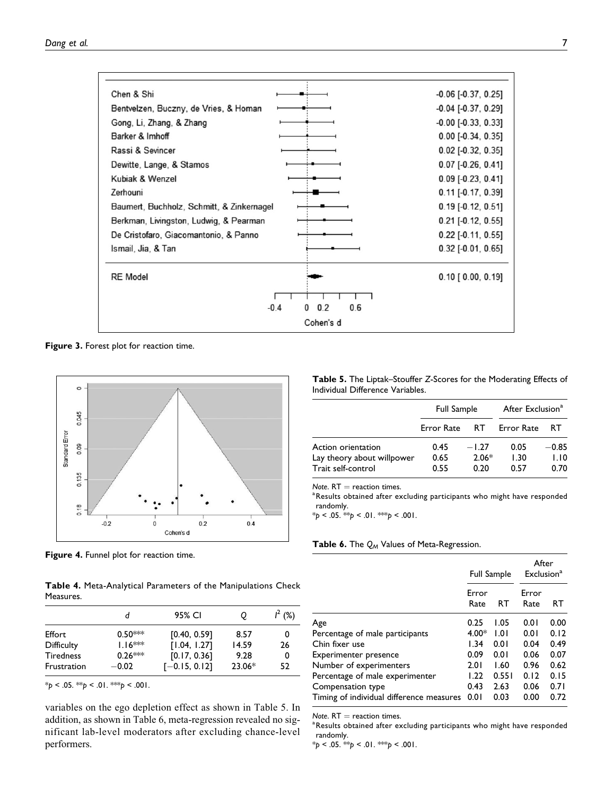

Figure 3. Forest plot for reaction time.



Figure 4. Funnel plot for reaction time.

Table 4. Meta-Analytical Parameters of the Manipulations Check Measures.

|                   | d         | 95% CI          | O      | $I^2$ (%) |
|-------------------|-----------|-----------------|--------|-----------|
| Effort            | $0.50***$ | [0.40, 0.59]    | 8.57   |           |
| <b>Difficulty</b> | $1.16***$ | [1.04, 1.27]    | 14.59  | 26        |
| <b>Tiredness</b>  | $0.26***$ | [0.17, 0.36]    | 9.28   | 0         |
| Frustration       | $-0.02$   | $[-0.15, 0.12]$ | 23.06* | 52        |

 $*_{p}$  < .05.  $*_{p}$  < .01.  $*_{p}$  < .001.

variables on the ego depletion effect as shown in Table 5. In addition, as shown in Table 6, meta-regression revealed no significant lab-level moderators after excluding chance-level performers.

Table 5. The Liptak–Stouffer Z-Scores for the Moderating Effects of Individual Difference Variables.

|                                                  | <b>Full Sample</b> |                 | After Exclusion <sup>a</sup> |              |  |
|--------------------------------------------------|--------------------|-----------------|------------------------------|--------------|--|
|                                                  | Error Rate         | RT.             | Error Rate                   | <b>RT</b>    |  |
| Action orientation                               | 0.45               | $-1.27$         | 0.05                         | $-0.85$      |  |
| Lay theory about willpower<br>Trait self-control | 0.65<br>0.55       | $2.06*$<br>0.20 | 1.30<br>0.57                 | 1.10<br>0.70 |  |

Note.  $RT =$  reaction times.

<sup>a</sup>Results obtained after excluding participants who might have responded randomly.

\*p < .05. \*\*p < .01. \*\*\*p < .001.

Table 6. The  $Q_M$  Values of Meta-Regression.

|                                          | <b>Full Sample</b> |       | After<br>Exclusion <sup>a</sup> |      |
|------------------------------------------|--------------------|-------|---------------------------------|------|
|                                          | Error<br>Rate      | RT    | Error<br>Rate                   | RT   |
| Age                                      | 0.25               | 1.05  | 0.01                            | 0.00 |
| Percentage of male participants          | $4.00*$            | 1.01  | 0.01                            | 0.12 |
| Chin fixer use                           | 1.34               | 0.01  | 0.04                            | 0.49 |
| Experimenter presence                    | 0.09               | 0.01  | 0.06                            | 0.07 |
| Number of experimenters                  | 2.01               | 1.60  | 0.96                            | 0.62 |
| Percentage of male experimenter          | 1.22               | 0.551 | 0.12                            | 0.15 |
| Compensation type                        | 0.43               | 2.63  | 0.06                            | 0.71 |
| Timing of individual difference measures | 0.01               | 0.03  | 0.00                            | 0.72 |

Note.  $RT =$  reaction times.

<sup>a</sup>Results obtained after excluding participants who might have responded randomly.

\*p < .05. \*\*p < .01. \*\*\*p < .001.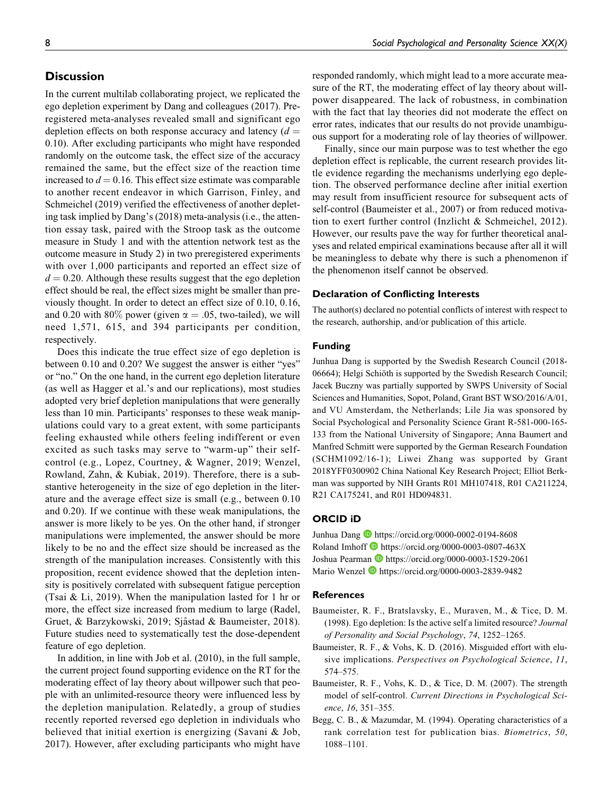# **Discussion**

In the current multilab collaborating project, we replicated the ego depletion experiment by Dang and colleagues (2017). Preregistered meta-analyses revealed small and significant ego depletion effects on both response accuracy and latency  $(d =$ 0.10). After excluding participants who might have responded randomly on the outcome task, the effect size of the accuracy remained the same, but the effect size of the reaction time increased to  $d = 0.16$ . This effect size estimate was comparable to another recent endeavor in which Garrison, Finley, and Schmeichel (2019) verified the effectiveness of another depleting task implied by Dang's (2018) meta-analysis (i.e., the attention essay task, paired with the Stroop task as the outcome measure in Study 1 and with the attention network test as the outcome measure in Study 2) in two preregistered experiments with over 1,000 participants and reported an effect size of  $d = 0.20$ . Although these results suggest that the ego depletion effect should be real, the effect sizes might be smaller than previously thought. In order to detect an effect size of 0.10, 0.16, and 0.20 with 80% power (given  $\alpha = .05$ , two-tailed), we will need 1,571, 615, and 394 participants per condition, respectively.

Does this indicate the true effect size of ego depletion is between 0.10 and 0.20? We suggest the answer is either "yes" or "no." On the one hand, in the current ego depletion literature (as well as Hagger et al.'s and our replications), most studies adopted very brief depletion manipulations that were generally less than 10 min. Participants' responses to these weak manipulations could vary to a great extent, with some participants feeling exhausted while others feeling indifferent or even excited as such tasks may serve to "warm-up" their selfcontrol (e.g., Lopez, Courtney, & Wagner, 2019; Wenzel, Rowland, Zahn, & Kubiak, 2019). Therefore, there is a substantive heterogeneity in the size of ego depletion in the literature and the average effect size is small (e.g., between 0.10 and 0.20). If we continue with these weak manipulations, the answer is more likely to be yes. On the other hand, if stronger manipulations were implemented, the answer should be more likely to be no and the effect size should be increased as the strength of the manipulation increases. Consistently with this proposition, recent evidence showed that the depletion intensity is positively correlated with subsequent fatigue perception (Tsai & Li, 2019). When the manipulation lasted for 1 hr or more, the effect size increased from medium to large (Radel, Gruet, & Barzykowski, 2019; Sjåstad & Baumeister, 2018). Future studies need to systematically test the dose-dependent feature of ego depletion.

In addition, in line with Job et al. (2010), in the full sample, the current project found supporting evidence on the RT for the moderating effect of lay theory about willpower such that people with an unlimited-resource theory were influenced less by the depletion manipulation. Relatedly, a group of studies recently reported reversed ego depletion in individuals who believed that initial exertion is energizing (Savani & Job, 2017). However, after excluding participants who might have

responded randomly, which might lead to a more accurate measure of the RT, the moderating effect of lay theory about willpower disappeared. The lack of robustness, in combination with the fact that lay theories did not moderate the effect on error rates, indicates that our results do not provide unambiguous support for a moderating role of lay theories of willpower.

Finally, since our main purpose was to test whether the ego depletion effect is replicable, the current research provides little evidence regarding the mechanisms underlying ego depletion. The observed performance decline after initial exertion may result from insufficient resource for subsequent acts of self-control (Baumeister et al., 2007) or from reduced motivation to exert further control (Inzlicht & Schmeichel, 2012). However, our results pave the way for further theoretical analyses and related empirical examinations because after all it will be meaningless to debate why there is such a phenomenon if the phenomenon itself cannot be observed.

### Declaration of Conflicting Interests

The author(s) declared no potential conflicts of interest with respect to the research, authorship, and/or publication of this article.

### Funding

Junhua Dang is supported by the Swedish Research Council (2018- 06664); Helgi Schiöth is supported by the Swedish Research Council; Jacek Buczny was partially supported by SWPS University of Social Sciences and Humanities, Sopot, Poland, Grant BST WSO/2016/A/01, and VU Amsterdam, the Netherlands; Lile Jia was sponsored by Social Psychological and Personality Science Grant R-581-000-165- 133 from the National University of Singapore; Anna Baumert and Manfred Schmitt were supported by the German Research Foundation (SCHM1092/16-1); Liwei Zhang was supported by Grant 2018YFF0300902 China National Key Research Project; Elliot Berkman was supported by NIH Grants R01 MH107418, R01 CA211224, R21 CA175241, and R01 HD094831.

## ORCID iD

Junhua Dang D <https://orcid.org/0000-0002-0194-8608> Roland Imhoff D<https://orcid.org/0000-0003-0807-463X> Joshua Pearman D<https://orcid.org/0000-0003-1529-2061> Mario Wenzel D <https://orcid.org/0000-0003-2839-9482>

## References

- Baumeister, R. F., Bratslavsky, E., Muraven, M., & Tice, D. M. (1998). Ego depletion: Is the active self a limited resource? Journal of Personality and Social Psychology, 74, 1252–1265.
- Baumeister, R. F., & Vohs, K. D. (2016). Misguided effort with elusive implications. Perspectives on Psychological Science, 11, 574–575.
- Baumeister, R. F., Vohs, K. D., & Tice, D. M. (2007). The strength model of self-control. Current Directions in Psychological Science, 16, 351–355.
- Begg, C. B., & Mazumdar, M. (1994). Operating characteristics of a rank correlation test for publication bias. Biometrics, 50, 1088–1101.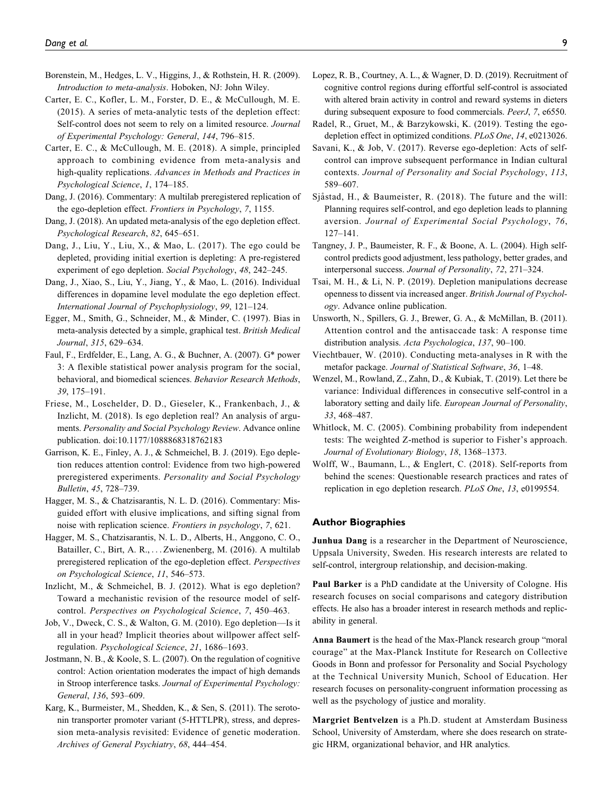- Borenstein, M., Hedges, L. V., Higgins, J., & Rothstein, H. R. (2009). Introduction to meta-analysis. Hoboken, NJ: John Wiley.
- Carter, E. C., Kofler, L. M., Forster, D. E., & McCullough, M. E. (2015). A series of meta-analytic tests of the depletion effect: Self-control does not seem to rely on a limited resource. Journal of Experimental Psychology: General, 144, 796–815.
- Carter, E. C., & McCullough, M. E. (2018). A simple, principled approach to combining evidence from meta-analysis and high-quality replications. Advances in Methods and Practices in Psychological Science, 1, 174–185.
- Dang, J. (2016). Commentary: A multilab preregistered replication of the ego-depletion effect. Frontiers in Psychology, 7, 1155.
- Dang, J. (2018). An updated meta-analysis of the ego depletion effect. Psychological Research, 82, 645–651.
- Dang, J., Liu, Y., Liu, X., & Mao, L. (2017). The ego could be depleted, providing initial exertion is depleting: A pre-registered experiment of ego depletion. Social Psychology, 48, 242–245.
- Dang, J., Xiao, S., Liu, Y., Jiang, Y., & Mao, L. (2016). Individual differences in dopamine level modulate the ego depletion effect. International Journal of Psychophysiology, 99, 121–124.
- Egger, M., Smith, G., Schneider, M., & Minder, C. (1997). Bias in meta-analysis detected by a simple, graphical test. British Medical Journal, 315, 629–634.
- Faul, F., Erdfelder, E., Lang, A. G., & Buchner, A. (2007). G\* power 3: A flexible statistical power analysis program for the social, behavioral, and biomedical sciences. Behavior Research Methods, 39, 175–191.
- Friese, M., Loschelder, D. D., Gieseler, K., Frankenbach, J., & Inzlicht, M. (2018). Is ego depletion real? An analysis of arguments. Personality and Social Psychology Review. Advance online publication. doi:10.1177/1088868318762183
- Garrison, K. E., Finley, A. J., & Schmeichel, B. J. (2019). Ego depletion reduces attention control: Evidence from two high-powered preregistered experiments. Personality and Social Psychology Bulletin, 45, 728–739.
- Hagger, M. S., & Chatzisarantis, N. L. D. (2016). Commentary: Misguided effort with elusive implications, and sifting signal from noise with replication science. Frontiers in psychology, 7, 621.
- Hagger, M. S., Chatzisarantis, N. L. D., Alberts, H., Anggono, C. O., Batailler, C., Birt, A. R., ... Zwienenberg, M. (2016). A multilab preregistered replication of the ego-depletion effect. Perspectives on Psychological Science, 11, 546–573.
- Inzlicht, M., & Schmeichel, B. J. (2012). What is ego depletion? Toward a mechanistic revision of the resource model of selfcontrol. Perspectives on Psychological Science, 7, 450–463.
- Job, V., Dweck, C. S., & Walton, G. M. (2010). Ego depletion—Is it all in your head? Implicit theories about willpower affect selfregulation. Psychological Science, 21, 1686–1693.
- Jostmann, N. B., & Koole, S. L. (2007). On the regulation of cognitive control: Action orientation moderates the impact of high demands in Stroop interference tasks. Journal of Experimental Psychology: General, 136, 593–609.
- Karg, K., Burmeister, M., Shedden, K., & Sen, S. (2011). The serotonin transporter promoter variant (5-HTTLPR), stress, and depression meta-analysis revisited: Evidence of genetic moderation. Archives of General Psychiatry, 68, 444–454.
- Lopez, R. B., Courtney, A. L., & Wagner, D. D. (2019). Recruitment of cognitive control regions during effortful self-control is associated with altered brain activity in control and reward systems in dieters during subsequent exposure to food commercials. PeerJ, 7, e6550.
- Radel, R., Gruet, M., & Barzykowski, K. (2019). Testing the egodepletion effect in optimized conditions. PLoS One, 14, e0213026.
- Savani, K., & Job, V. (2017). Reverse ego-depletion: Acts of selfcontrol can improve subsequent performance in Indian cultural contexts. Journal of Personality and Social Psychology, 113, 589–607.
- Sjåstad, H., & Baumeister, R. (2018). The future and the will: Planning requires self-control, and ego depletion leads to planning aversion. Journal of Experimental Social Psychology, 76, 127–141.
- Tangney, J. P., Baumeister, R. F., & Boone, A. L. (2004). High selfcontrol predicts good adjustment, less pathology, better grades, and interpersonal success. Journal of Personality, 72, 271–324.
- Tsai, M. H., & Li, N. P. (2019). Depletion manipulations decrease openness to dissent via increased anger. British Journal of Psychology. Advance online publication.
- Unsworth, N., Spillers, G. J., Brewer, G. A., & McMillan, B. (2011). Attention control and the antisaccade task: A response time distribution analysis. Acta Psychologica, 137, 90-100.
- Viechtbauer, W. (2010). Conducting meta-analyses in R with the metafor package. Journal of Statistical Software, 36, 1–48.
- Wenzel, M., Rowland, Z., Zahn, D., & Kubiak, T. (2019). Let there be variance: Individual differences in consecutive self-control in a laboratory setting and daily life. European Journal of Personality, 33, 468–487.
- Whitlock, M. C. (2005). Combining probability from independent tests: The weighted Z-method is superior to Fisher's approach. Journal of Evolutionary Biology, 18, 1368–1373.
- Wolff, W., Baumann, L., & Englert, C. (2018). Self-reports from behind the scenes: Questionable research practices and rates of replication in ego depletion research. PLoS One, 13, e0199554.

## Author Biographies

Junhua Dang is a researcher in the Department of Neuroscience, Uppsala University, Sweden. His research interests are related to self-control, intergroup relationship, and decision-making.

Paul Barker is a PhD candidate at the University of Cologne. His research focuses on social comparisons and category distribution effects. He also has a broader interest in research methods and replicability in general.

Anna Baumert is the head of the Max-Planck research group "moral courage" at the Max-Planck Institute for Research on Collective Goods in Bonn and professor for Personality and Social Psychology at the Technical University Munich, School of Education. Her research focuses on personality-congruent information processing as well as the psychology of justice and morality.

Margriet Bentvelzen is a Ph.D. student at Amsterdam Business School, University of Amsterdam, where she does research on strategic HRM, organizational behavior, and HR analytics.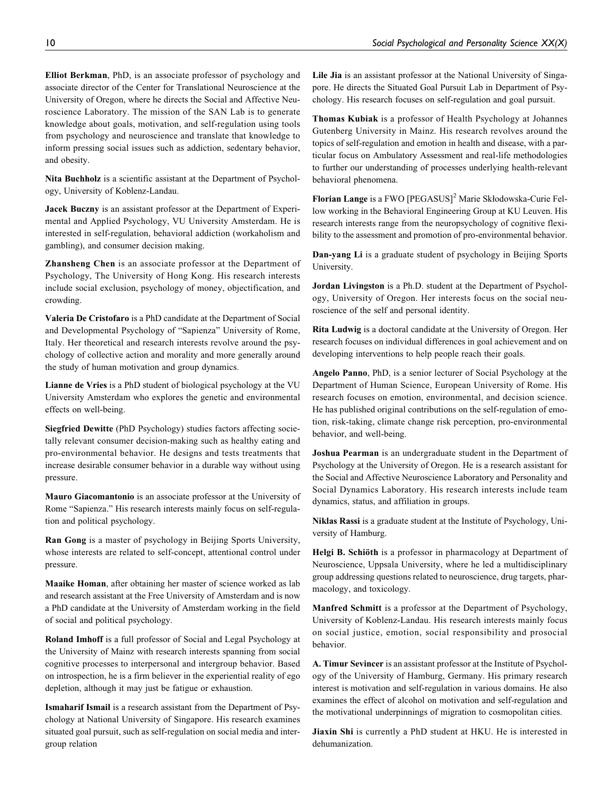Elliot Berkman, PhD, is an associate professor of psychology and associate director of the Center for Translational Neuroscience at the University of Oregon, where he directs the Social and Affective Neuroscience Laboratory. The mission of the SAN Lab is to generate knowledge about goals, motivation, and self-regulation using tools from psychology and neuroscience and translate that knowledge to inform pressing social issues such as addiction, sedentary behavior, and obesity.

Nita Buchholz is a scientific assistant at the Department of Psychology, University of Koblenz-Landau.

Jacek Buczny is an assistant professor at the Department of Experimental and Applied Psychology, VU University Amsterdam. He is interested in self-regulation, behavioral addiction (workaholism and gambling), and consumer decision making.

Zhansheng Chen is an associate professor at the Department of Psychology, The University of Hong Kong. His research interests include social exclusion, psychology of money, objectification, and crowding.

Valeria De Cristofaro is a PhD candidate at the Department of Social and Developmental Psychology of "Sapienza" University of Rome, Italy. Her theoretical and research interests revolve around the psychology of collective action and morality and more generally around the study of human motivation and group dynamics.

Lianne de Vries is a PhD student of biological psychology at the VU University Amsterdam who explores the genetic and environmental effects on well-being.

Siegfried Dewitte (PhD Psychology) studies factors affecting societally relevant consumer decision-making such as healthy eating and pro-environmental behavior. He designs and tests treatments that increase desirable consumer behavior in a durable way without using pressure.

Mauro Giacomantonio is an associate professor at the University of Rome "Sapienza." His research interests mainly focus on self-regulation and political psychology.

Ran Gong is a master of psychology in Beijing Sports University, whose interests are related to self-concept, attentional control under pressure.

Maaike Homan, after obtaining her master of science worked as lab and research assistant at the Free University of Amsterdam and is now a PhD candidate at the University of Amsterdam working in the field of social and political psychology.

Roland Imhoff is a full professor of Social and Legal Psychology at the University of Mainz with research interests spanning from social cognitive processes to interpersonal and intergroup behavior. Based on introspection, he is a firm believer in the experiential reality of ego depletion, although it may just be fatigue or exhaustion.

Ismaharif Ismail is a research assistant from the Department of Psychology at National University of Singapore. His research examines situated goal pursuit, such as self-regulation on social media and intergroup relation

Lile Jia is an assistant professor at the National University of Singapore. He directs the Situated Goal Pursuit Lab in Department of Psychology. His research focuses on self-regulation and goal pursuit.

Thomas Kubiak is a professor of Health Psychology at Johannes Gutenberg University in Mainz. His research revolves around the topics of self-regulation and emotion in health and disease, with a particular focus on Ambulatory Assessment and real-life methodologies to further our understanding of processes underlying health-relevant behavioral phenomena.

Florian Lange is a FWO [PEGASUS]<sup>2</sup> Marie Skłodowska-Curie Fellow working in the Behavioral Engineering Group at KU Leuven. His research interests range from the neuropsychology of cognitive flexibility to the assessment and promotion of pro-environmental behavior.

Dan-yang Li is a graduate student of psychology in Beijing Sports University.

Jordan Livingston is a Ph.D. student at the Department of Psychology, University of Oregon. Her interests focus on the social neuroscience of the self and personal identity.

Rita Ludwig is a doctoral candidate at the University of Oregon. Her research focuses on individual differences in goal achievement and on developing interventions to help people reach their goals.

Angelo Panno, PhD, is a senior lecturer of Social Psychology at the Department of Human Science, European University of Rome. His research focuses on emotion, environmental, and decision science. He has published original contributions on the self-regulation of emotion, risk-taking, climate change risk perception, pro-environmental behavior, and well-being.

Joshua Pearman is an undergraduate student in the Department of Psychology at the University of Oregon. He is a research assistant for the Social and Affective Neuroscience Laboratory and Personality and Social Dynamics Laboratory. His research interests include team dynamics, status, and affiliation in groups.

Niklas Rassi is a graduate student at the Institute of Psychology, University of Hamburg.

Helgi B. Schiöth is a professor in pharmacology at Department of Neuroscience, Uppsala University, where he led a multidisciplinary group addressing questions related to neuroscience, drug targets, pharmacology, and toxicology.

Manfred Schmitt is a professor at the Department of Psychology, University of Koblenz-Landau. His research interests mainly focus on social justice, emotion, social responsibility and prosocial behavior.

A. Timur Sevincer is an assistant professor at the Institute of Psychology of the University of Hamburg, Germany. His primary research interest is motivation and self-regulation in various domains. He also examines the effect of alcohol on motivation and self-regulation and the motivational underpinnings of migration to cosmopolitan cities.

Jiaxin Shi is currently a PhD student at HKU. He is interested in dehumanization.